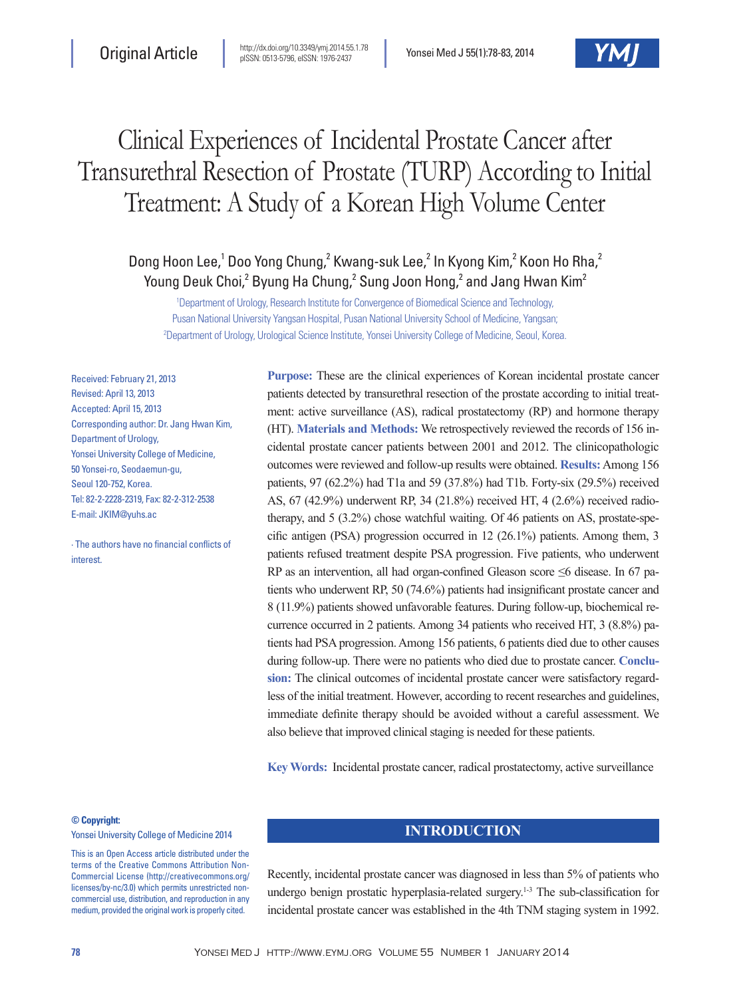# Clinical Experiences of Incidental Prostate Cancer after Transurethral Resection of Prostate (TURP) According to Initial Treatment: A Study of a Korean High Volume Center

# Dong Hoon Lee,<sup>1</sup> Doo Yong Chung,<sup>2</sup> Kwang-suk Lee,<sup>2</sup> In Kyong Kim,<sup>2</sup> Koon Ho Rha,<sup>2</sup> Young Deuk Choi, $^2$  Byung Ha Chung, $^2$  Sung Joon Hong, $^2$  and Jang Hwan Kim $^2$

1 Department of Urology, Research Institute for Convergence of Biomedical Science and Technology, Pusan National University Yangsan Hospital, Pusan National University School of Medicine, Yangsan; 2 Department of Urology, Urological Science Institute, Yonsei University College of Medicine, Seoul, Korea.

Received: February 21, 2013 Revised: April 13, 2013 Accepted: April 15, 2013 Corresponding author: Dr. Jang Hwan Kim, Department of Urology, Yonsei University College of Medicine, 50 Yonsei-ro, Seodaemun-gu, Seoul 120-752, Korea. Tel: 82-2-2228-2319, Fax: 82-2-312-2538 E-mail: JKIM@yuhs.ac

∙ The authors have no financial conflicts of interest.

**Purpose:** These are the clinical experiences of Korean incidental prostate cancer patients detected by transurethral resection of the prostate according to initial treatment: active surveillance (AS), radical prostatectomy (RP) and hormone therapy (HT). **Materials and Methods:** We retrospectively reviewed the records of 156 incidental prostate cancer patients between 2001 and 2012. The clinicopathologic outcomes were reviewed and follow-up results were obtained. **Results:** Among 156 patients, 97 (62.2%) had T1a and 59 (37.8%) had T1b. Forty-six (29.5%) received AS, 67 (42.9%) underwent RP, 34 (21.8%) received HT, 4 (2.6%) received radiotherapy, and 5 (3.2%) chose watchful waiting. Of 46 patients on AS, prostate-specific antigen (PSA) progression occurred in 12 (26.1%) patients. Among them, 3 patients refused treatment despite PSA progression. Five patients, who underwent RP as an intervention, all had organ-confined Gleason score ≤6 disease. In 67 patients who underwent RP, 50 (74.6%) patients had insignificant prostate cancer and 8 (11.9%) patients showed unfavorable features. During follow-up, biochemical recurrence occurred in 2 patients. Among 34 patients who received HT, 3 (8.8%) patients had PSA progression. Among 156 patients, 6 patients died due to other causes during follow-up. There were no patients who died due to prostate cancer. **Conclusion:** The clinical outcomes of incidental prostate cancer were satisfactory regardless of the initial treatment. However, according to recent researches and guidelines, immediate definite therapy should be avoided without a careful assessment. We also believe that improved clinical staging is needed for these patients.

**Key Words:** Incidental prostate cancer, radical prostatectomy, active surveillance

#### **© Copyright:**

Yonsei University College of Medicine 2014

This is an Open Access article distributed under the terms of the Creative Commons Attribution Non-Commercial License (http://creativecommons.org/ licenses/by-nc/3.0) which permits unrestricted noncommercial use, distribution, and reproduction in any medium, provided the original work is properly cited.

# **INTRODUCTION**

Recently, incidental prostate cancer was diagnosed in less than 5% of patients who undergo benign prostatic hyperplasia-related surgery.<sup>1-3</sup> The sub-classification for incidental prostate cancer was established in the 4th TNM staging system in 1992.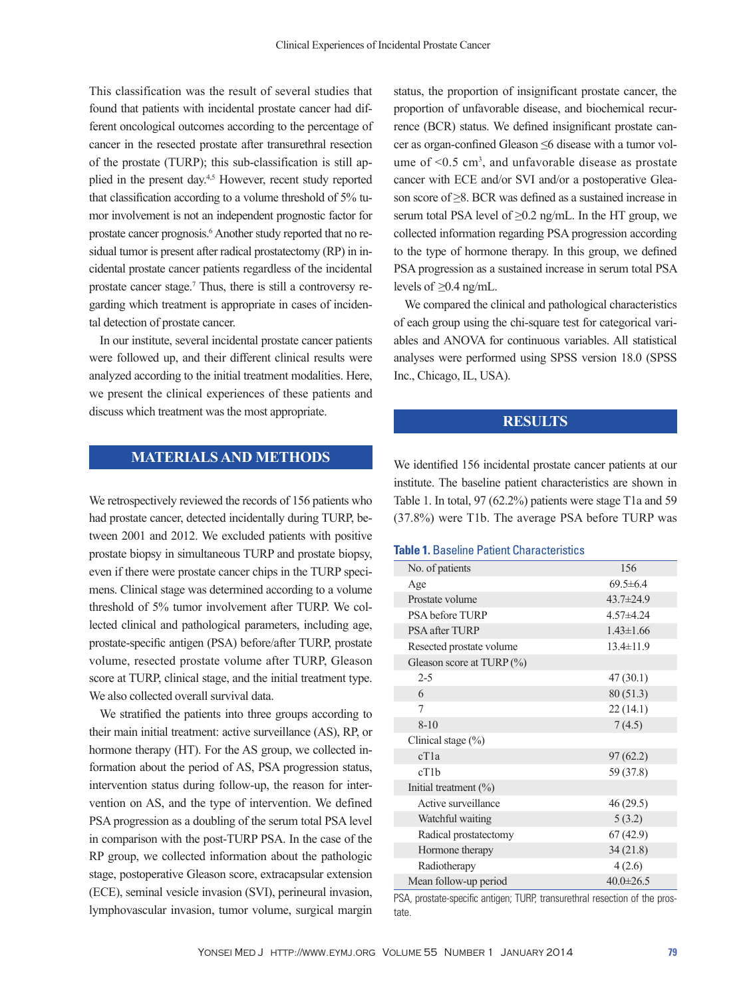This classification was the result of several studies that found that patients with incidental prostate cancer had different oncological outcomes according to the percentage of cancer in the resected prostate after transurethral resection of the prostate (TURP); this sub-classification is still applied in the present day.4,5 However, recent study reported that classification according to a volume threshold of 5% tumor involvement is not an independent prognostic factor for prostate cancer prognosis.<sup>6</sup> Another study reported that no residual tumor is present after radical prostatectomy (RP) in incidental prostate cancer patients regardless of the incidental prostate cancer stage.<sup>7</sup> Thus, there is still a controversy regarding which treatment is appropriate in cases of incidental detection of prostate cancer.

In our institute, several incidental prostate cancer patients were followed up, and their different clinical results were analyzed according to the initial treatment modalities. Here, we present the clinical experiences of these patients and discuss which treatment was the most appropriate.

# **MATERIALS AND METHODS**

We retrospectively reviewed the records of 156 patients who had prostate cancer, detected incidentally during TURP, between 2001 and 2012. We excluded patients with positive prostate biopsy in simultaneous TURP and prostate biopsy, even if there were prostate cancer chips in the TURP specimens. Clinical stage was determined according to a volume threshold of 5% tumor involvement after TURP. We collected clinical and pathological parameters, including age, prostate-specific antigen (PSA) before/after TURP, prostate volume, resected prostate volume after TURP, Gleason score at TURP, clinical stage, and the initial treatment type. We also collected overall survival data.

We stratified the patients into three groups according to their main initial treatment: active surveillance (AS), RP, or hormone therapy (HT). For the AS group, we collected information about the period of AS, PSA progression status, intervention status during follow-up, the reason for intervention on AS, and the type of intervention. We defined PSA progression as a doubling of the serum total PSA level in comparison with the post-TURP PSA. In the case of the RP group, we collected information about the pathologic stage, postoperative Gleason score, extracapsular extension (ECE), seminal vesicle invasion (SVI), perineural invasion, lymphovascular invasion, tumor volume, surgical margin

status, the proportion of insignificant prostate cancer, the proportion of unfavorable disease, and biochemical recurrence (BCR) status. We defined insignificant prostate cancer as organ-confined Gleason ≤6 disease with a tumor volume of  $\leq 0.5$  cm<sup>3</sup>, and unfavorable disease as prostate cancer with ECE and/or SVI and/or a postoperative Gleason score of ≥8. BCR was defined as a sustained increase in serum total PSA level of  $\geq$ 0.2 ng/mL. In the HT group, we collected information regarding PSA progression according to the type of hormone therapy. In this group, we defined PSA progression as a sustained increase in serum total PSA levels of  $\geq$ 0.4 ng/mL.

We compared the clinical and pathological characteristics of each group using the chi-square test for categorical variables and ANOVA for continuous variables. All statistical analyses were performed using SPSS version 18.0 (SPSS Inc., Chicago, IL, USA).

## **RESULTS**

We identified 156 incidental prostate cancer patients at our institute. The baseline patient characteristics are shown in Table 1. In total, 97 (62.2%) patients were stage T1a and 59 (37.8%) were T1b. The average PSA before TURP was

#### **Table 1.** Baseline Patient Characteristics

| No. of patients              | 156             |
|------------------------------|-----------------|
| Age                          | $69.5 \pm 6.4$  |
| Prostate volume              | 43.7±24.9       |
| PSA before TURP              | $4.57 + 4.24$   |
| <b>PSA after TURP</b>        | $1.43 \pm 1.66$ |
| Resected prostate volume     | $13.4 \pm 11.9$ |
| Gleason score at TURP $(\%)$ |                 |
| $2 - 5$                      | 47(30.1)        |
| 6                            | 80(51.3)        |
| 7                            | 22(14.1)        |
| $8 - 10$                     | 7(4.5)          |
| Clinical stage (%)           |                 |
| cT1a                         | 97(62.2)        |
| cT1b                         | 59 (37.8)       |
| Initial treatment $(\%)$     |                 |
| Active surveillance          | 46 (29.5)       |
| Watchful waiting             | 5(3.2)          |
| Radical prostatectomy        | 67(42.9)        |
| Hormone therapy              | 34(21.8)        |
| Radiotherapy                 | 4(2.6)          |
| Mean follow-up period        | $40.0 \pm 26.5$ |

PSA, prostate-specific antigen; TURP, transurethral resection of the prostate.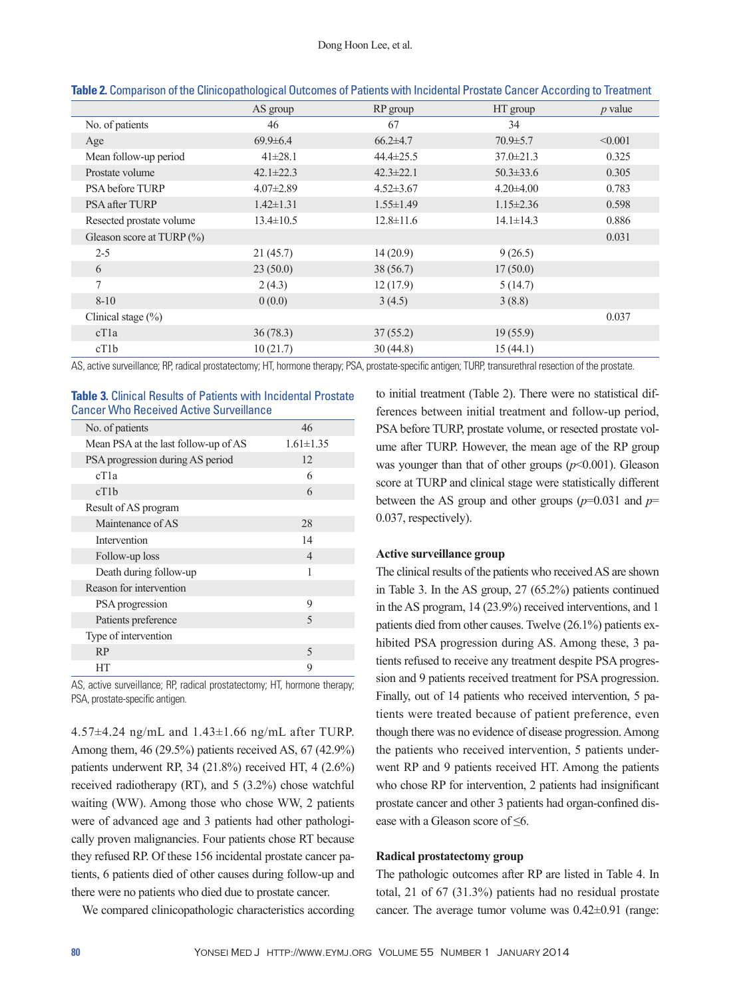|                              | AS group        | RP group        | HT group        | $p$ value |
|------------------------------|-----------------|-----------------|-----------------|-----------|
| No. of patients              | 46              | 67              | 34              |           |
| Age                          | $69.9 \pm 6.4$  | $66.2{\pm}4.7$  | $70.9 \pm 5.7$  | < 0.001   |
| Mean follow-up period        | $41 \pm 28.1$   | $44.4 \pm 25.5$ | $37.0 \pm 21.3$ | 0.325     |
| Prostate volume              | $42.1 \pm 22.3$ | $42.3 \pm 22.1$ | $50.3 \pm 33.6$ | 0.305     |
| PSA before TURP              | $4.07 \pm 2.89$ | $4.52 \pm 3.67$ | $4.20\pm4.00$   | 0.783     |
| <b>PSA after TURP</b>        | $1.42 \pm 1.31$ | $1.55 \pm 1.49$ | $1.15 \pm 2.36$ | 0.598     |
| Resected prostate volume     | $13.4 \pm 10.5$ | $12.8 \pm 11.6$ | $14.1 \pm 14.3$ | 0.886     |
| Gleason score at TURP $(\%)$ |                 |                 |                 | 0.031     |
| $2 - 5$                      | 21(45.7)        | 14(20.9)        | 9(26.5)         |           |
| 6                            | 23(50.0)        | 38(56.7)        | 17(50.0)        |           |
| 7                            | 2(4.3)          | 12(17.9)        | 5(14.7)         |           |
| $8 - 10$                     | 0(0.0)          | 3(4.5)          | 3(8.8)          |           |
| Clinical stage $(\% )$       |                 |                 |                 | 0.037     |
| cT1a                         | 36(78.3)        | 37(55.2)        | 19(55.9)        |           |
| cT1b                         | 10(21.7)        | 30(44.8)        | 15(44.1)        |           |

| Table 2. Comparison of the Clinicopathological Outcomes of Patients with Incidental Prostate Cancer According to Treatment |  |  |
|----------------------------------------------------------------------------------------------------------------------------|--|--|
|                                                                                                                            |  |  |

AS, active surveillance; RP, radical prostatectomy; HT, hormone therapy; PSA, prostate-specific antigen; TURP, transurethral resection of the prostate.

#### **Table 3.** Clinical Results of Patients with Incidental Prostate Cancer Who Received Active Surveillance

| No. of patients                      | 46              |
|--------------------------------------|-----------------|
| Mean PSA at the last follow-up of AS | $1.61 \pm 1.35$ |
| PSA progression during AS period     | 12              |
| cT1a                                 | 6               |
| cT1b                                 | 6               |
| Result of AS program                 |                 |
| Maintenance of AS                    | 28              |
| Intervention                         | 14              |
| Follow-up loss                       | $\overline{4}$  |
| Death during follow-up               | 1               |
| Reason for intervention              |                 |
| PSA progression                      | 9               |
| Patients preference                  | 5               |
| Type of intervention                 |                 |
| RP                                   | 5               |
| HТ                                   | 9               |

AS, active surveillance; RP, radical prostatectomy; HT, hormone therapy; PSA, prostate-specific antigen.

4.57±4.24 ng/mL and 1.43±1.66 ng/mL after TURP. Among them, 46 (29.5%) patients received AS, 67 (42.9%) patients underwent RP, 34 (21.8%) received HT, 4 (2.6%) received radiotherapy (RT), and 5 (3.2%) chose watchful waiting (WW). Among those who chose WW, 2 patients were of advanced age and 3 patients had other pathologically proven malignancies. Four patients chose RT because they refused RP. Of these 156 incidental prostate cancer patients, 6 patients died of other causes during follow-up and there were no patients who died due to prostate cancer.

We compared clinicopathologic characteristics according

to initial treatment (Table 2). There were no statistical differences between initial treatment and follow-up period, PSA before TURP, prostate volume, or resected prostate volume after TURP. However, the mean age of the RP group was younger than that of other groups  $(p<0.001)$ . Gleason score at TURP and clinical stage were statistically different between the AS group and other groups (*p*=0.031 and *p*= 0.037, respectively).

# **Active surveillance group**

The clinical results of the patients who received AS are shown in Table 3. In the AS group, 27 (65.2%) patients continued in the AS program, 14 (23.9%) received interventions, and 1 patients died from other causes. Twelve (26.1%) patients exhibited PSA progression during AS. Among these, 3 patients refused to receive any treatment despite PSA progression and 9 patients received treatment for PSA progression. Finally, out of 14 patients who received intervention, 5 patients were treated because of patient preference, even though there was no evidence of disease progression. Among the patients who received intervention, 5 patients underwent RP and 9 patients received HT. Among the patients who chose RP for intervention, 2 patients had insignificant prostate cancer and other 3 patients had organ-confined disease with a Gleason score of ≤6.

#### **Radical prostatectomy group**

The pathologic outcomes after RP are listed in Table 4. In total, 21 of 67 (31.3%) patients had no residual prostate cancer. The average tumor volume was 0.42±0.91 (range: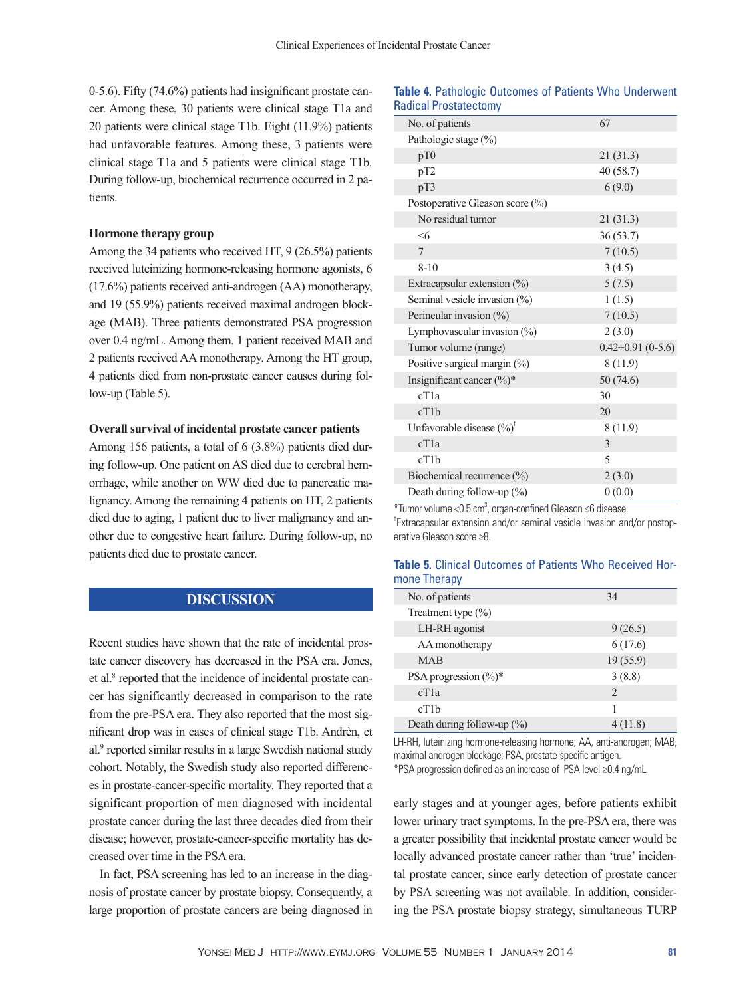0-5.6). Fifty (74.6%) patients had insignificant prostate cancer. Among these, 30 patients were clinical stage T1a and 20 patients were clinical stage T1b. Eight (11.9%) patients had unfavorable features. Among these, 3 patients were clinical stage T1a and 5 patients were clinical stage T1b. During follow-up, biochemical recurrence occurred in 2 patients.

#### **Hormone therapy group**

Among the 34 patients who received HT, 9 (26.5%) patients received luteinizing hormone-releasing hormone agonists, 6 (17.6%) patients received anti-androgen (AA) monotherapy, and 19 (55.9%) patients received maximal androgen blockage (MAB). Three patients demonstrated PSA progression over 0.4 ng/mL. Among them, 1 patient received MAB and 2 patients received AA monotherapy. Among the HT group, 4 patients died from non-prostate cancer causes during follow-up (Table 5).

#### **Overall survival of incidental prostate cancer patients**

Among 156 patients, a total of 6 (3.8%) patients died during follow-up. One patient on AS died due to cerebral hemorrhage, while another on WW died due to pancreatic malignancy. Among the remaining 4 patients on HT, 2 patients died due to aging, 1 patient due to liver malignancy and another due to congestive heart failure. During follow-up, no patients died due to prostate cancer.

# **DISCUSSION**

Recent studies have shown that the rate of incidental prostate cancer discovery has decreased in the PSA era. Jones, et al.<sup>8</sup> reported that the incidence of incidental prostate cancer has significantly decreased in comparison to the rate from the pre-PSA era. They also reported that the most significant drop was in cases of clinical stage T1b. Andrèn, et al.<sup>9</sup> reported similar results in a large Swedish national study cohort. Notably, the Swedish study also reported differences in prostate-cancer-specific mortality. They reported that a significant proportion of men diagnosed with incidental prostate cancer during the last three decades died from their disease; however, prostate-cancer-specific mortality has decreased over time in the PSA era.

In fact, PSA screening has led to an increase in the diagnosis of prostate cancer by prostate biopsy. Consequently, a large proportion of prostate cancers are being diagnosed in

## **Table 4.** Pathologic Outcomes of Patients Who Underwent Radical Prostatectomy

| No. of patients                      | 67                      |
|--------------------------------------|-------------------------|
| Pathologic stage (%)                 |                         |
| pT0                                  | 21(31.3)                |
| pT2                                  | 40(58.7)                |
| pT3                                  | 6(9.0)                  |
| Postoperative Gleason score (%)      |                         |
| No residual tumor                    | 21(31.3)                |
| $\leq 6$                             | 36(53.7)                |
| $\overline{7}$                       | 7(10.5)                 |
| $8 - 10$                             | 3(4.5)                  |
| Extracapsular extension $(\%)$       | 5(7.5)                  |
| Seminal vesicle invasion (%)         | 1(1.5)                  |
| Perineular invasion (%)              | 7(10.5)                 |
| Lymphovascular invasion (%)          | 2(3.0)                  |
| Tumor volume (range)                 | $0.42 \pm 0.91$ (0-5.6) |
| Positive surgical margin (%)         | 8(11.9)                 |
| Insignificant cancer $(\%)^*$        | 50(74.6)                |
| cT <sub>1</sub> a                    | 30                      |
| cT1b                                 | 20                      |
| Unfavorable disease $(\%)^{\dagger}$ | 8(11.9)                 |
| cT1a                                 | 3                       |
| cT1b                                 | 5                       |
| Biochemical recurrence (%)           | 2(3.0)                  |
| Death during follow-up (%)           | 0(0.0)                  |

\*Tumor volume < $0.5$  cm<sup>3</sup>, organ-confined Gleason  $\leq$ 6 disease. † Extracapsular extension and/or seminal vesicle invasion and/or postoperative Gleason score ≥8.

#### **Table 5.** Clinical Outcomes of Patients Who Received Hormone Therapy

| No. of patients                   | 34       |
|-----------------------------------|----------|
| Treatment type $(\% )$            |          |
| LH-RH agonist                     | 9(26.5)  |
| AA monotherapy                    | 6(17.6)  |
| <b>MAB</b>                        | 19(55.9) |
| PSA progression $(\frac{6}{6})^*$ | 3(8.8)   |
| cT1a                              | 2        |
| cT1b                              | 1        |
| Death during follow-up $(\%)$     | 4 (11.8) |

LH-RH, luteinizing hormone-releasing hormone; AA, anti-androgen; MAB, maximal androgen blockage; PSA, prostate-specific antigen.

\*PSA progression defined as an increase of PSA level ≥0.4 ng/mL.

early stages and at younger ages, before patients exhibit lower urinary tract symptoms. In the pre-PSA era, there was a greater possibility that incidental prostate cancer would be locally advanced prostate cancer rather than 'true' incidental prostate cancer, since early detection of prostate cancer by PSA screening was not available. In addition, considering the PSA prostate biopsy strategy, simultaneous TURP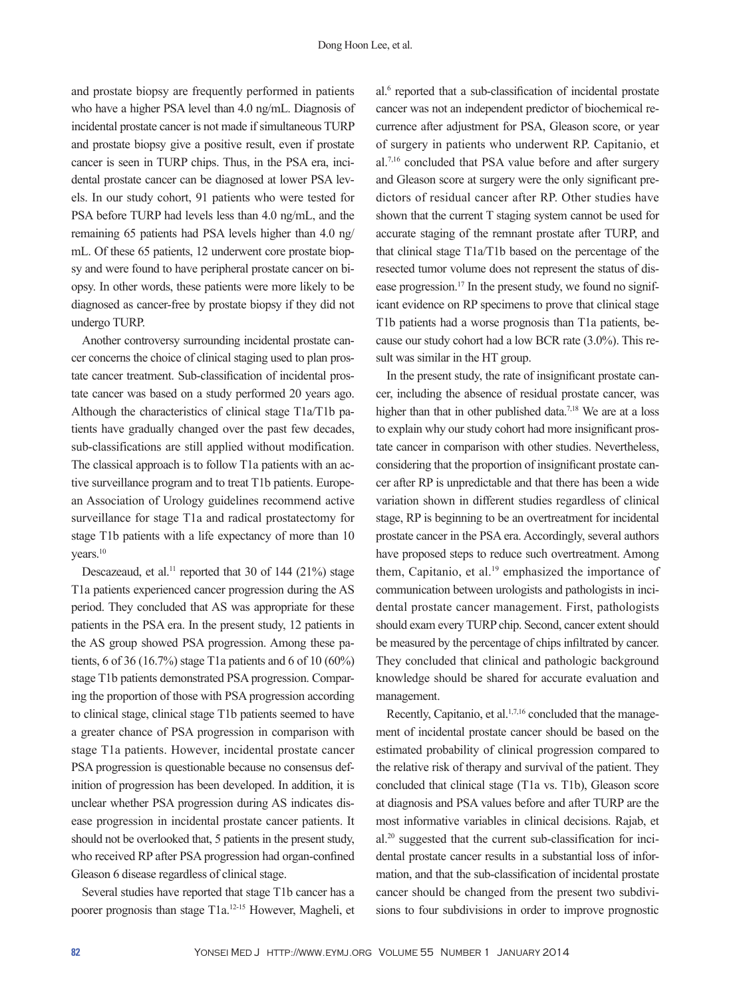and prostate biopsy are frequently performed in patients who have a higher PSA level than 4.0 ng/mL. Diagnosis of incidental prostate cancer is not made if simultaneous TURP and prostate biopsy give a positive result, even if prostate cancer is seen in TURP chips. Thus, in the PSA era, incidental prostate cancer can be diagnosed at lower PSA levels. In our study cohort, 91 patients who were tested for PSA before TURP had levels less than 4.0 ng/mL, and the remaining 65 patients had PSA levels higher than 4.0 ng/ mL. Of these 65 patients, 12 underwent core prostate biopsy and were found to have peripheral prostate cancer on biopsy. In other words, these patients were more likely to be diagnosed as cancer-free by prostate biopsy if they did not undergo TURP.

Another controversy surrounding incidental prostate cancer concerns the choice of clinical staging used to plan prostate cancer treatment. Sub-classification of incidental prostate cancer was based on a study performed 20 years ago. Although the characteristics of clinical stage T1a/T1b patients have gradually changed over the past few decades, sub-classifications are still applied without modification. The classical approach is to follow T1a patients with an active surveillance program and to treat T1b patients. European Association of Urology guidelines recommend active surveillance for stage T1a and radical prostatectomy for stage T1b patients with a life expectancy of more than 10 vears.<sup>10</sup>

Descazeaud, et al.<sup>11</sup> reported that 30 of 144 (21%) stage T1a patients experienced cancer progression during the AS period. They concluded that AS was appropriate for these patients in the PSA era. In the present study, 12 patients in the AS group showed PSA progression. Among these patients, 6 of 36 (16.7%) stage T1a patients and 6 of 10 (60%) stage T1b patients demonstrated PSA progression. Comparing the proportion of those with PSA progression according to clinical stage, clinical stage T1b patients seemed to have a greater chance of PSA progression in comparison with stage T1a patients. However, incidental prostate cancer PSA progression is questionable because no consensus definition of progression has been developed. In addition, it is unclear whether PSA progression during AS indicates disease progression in incidental prostate cancer patients. It should not be overlooked that, 5 patients in the present study, who received RP after PSA progression had organ-confined Gleason 6 disease regardless of clinical stage.

Several studies have reported that stage T1b cancer has a poorer prognosis than stage T1a.12-15 However, Magheli, et

al.<sup>6</sup> reported that a sub-classification of incidental prostate cancer was not an independent predictor of biochemical recurrence after adjustment for PSA, Gleason score, or year of surgery in patients who underwent RP. Capitanio, et al.7,16 concluded that PSA value before and after surgery and Gleason score at surgery were the only significant predictors of residual cancer after RP. Other studies have shown that the current T staging system cannot be used for accurate staging of the remnant prostate after TURP, and that clinical stage T1a/T1b based on the percentage of the resected tumor volume does not represent the status of disease progression.17 In the present study, we found no significant evidence on RP specimens to prove that clinical stage T1b patients had a worse prognosis than T1a patients, because our study cohort had a low BCR rate (3.0%). This result was similar in the HT group.

In the present study, the rate of insignificant prostate cancer, including the absence of residual prostate cancer, was higher than that in other published data.<sup>7,18</sup> We are at a loss to explain why our study cohort had more insignificant prostate cancer in comparison with other studies. Nevertheless, considering that the proportion of insignificant prostate cancer after RP is unpredictable and that there has been a wide variation shown in different studies regardless of clinical stage, RP is beginning to be an overtreatment for incidental prostate cancer in the PSA era. Accordingly, several authors have proposed steps to reduce such overtreatment. Among them, Capitanio, et al.<sup>19</sup> emphasized the importance of communication between urologists and pathologists in incidental prostate cancer management. First, pathologists should exam every TURP chip. Second, cancer extent should be measured by the percentage of chips infiltrated by cancer. They concluded that clinical and pathologic background knowledge should be shared for accurate evaluation and management.

Recently, Capitanio, et al.<sup>1,7,16</sup> concluded that the management of incidental prostate cancer should be based on the estimated probability of clinical progression compared to the relative risk of therapy and survival of the patient. They concluded that clinical stage (T1a vs. T1b), Gleason score at diagnosis and PSA values before and after TURP are the most informative variables in clinical decisions. Rajab, et al.20 suggested that the current sub-classification for incidental prostate cancer results in a substantial loss of information, and that the sub-classification of incidental prostate cancer should be changed from the present two subdivisions to four subdivisions in order to improve prognostic